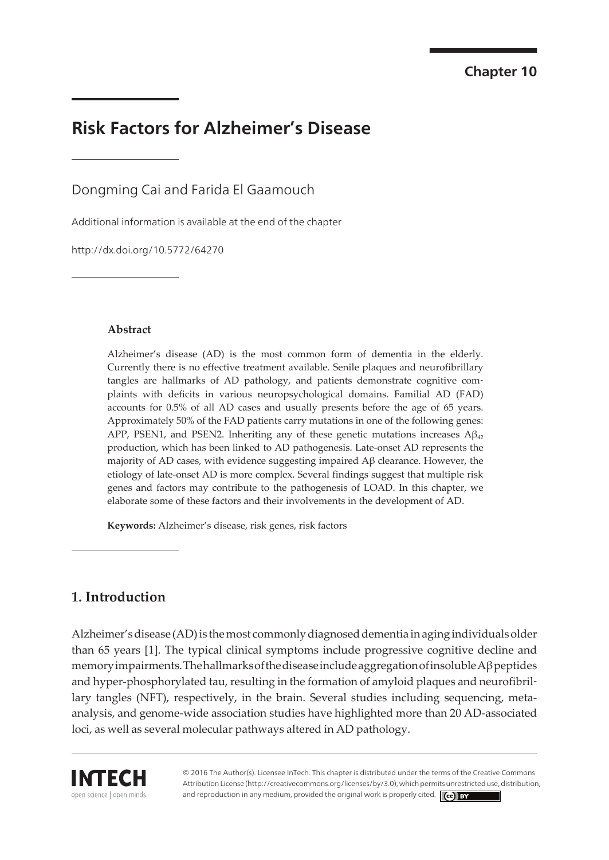# **Risk Factors for Alzheimer's Disease**

Dongming Cai and Farida El Gaamouch

[Additional information is available at the end of the chapter](#page-9-0)

http://dx.doi.org/10.5772/64270

#### **Abstract**

Alzheimer's disease (AD) is the most common form of dementia in the elderly. Currently there is no effective treatment available. Senile plaques and neurofibrillary tangles are hallmarks of AD pathology, and patients demonstrate cognitive complaints with deficits in various neuropsychological domains. Familial AD (FAD) accounts for 0.5% of all AD cases and usually presents before the age of 65 years. Approximately 50% of the FAD patients carry mutations in one of the following genes: APP, PSEN1, and PSEN2. Inheriting any of these genetic mutations increases  $A\beta_{42}$ production, which has been linked to AD pathogenesis. Late-onset AD represents the majority of AD cases, with evidence suggesting impaired Aβ clearance. However, the etiology of late-onset AD is more complex. Several findings suggest that multiple risk genes and factors may contribute to the pathogenesis of LOAD. In this chapter, we elaborate some of these factors and their involvements in the development of AD.

**Keywords:** Alzheimer's disease, risk genes, risk factors

### **1. Introduction**

Alzheimer'sdisease (AD)is themost commonlydiagnoseddementia inagingindividualsolder than 65 years [[1](#page-9-0)]. The typical clinical symptoms include progressive cognitive decline and memoryimpairments.ThehallmarksofthediseaseincludeaggregationofinsolubleAβpeptides and hyper-phosphorylated tau, resulting in the formation of amyloid plaques and neurofibril‐ lary tangles (NFT), respectively, in the brain. Several studies including sequencing, metaanalysis, and genome-wide association studies have highlighted more than 20 AD-associated loci, as well as several molecular pathways altered in AD pathology.



© 2016 The Author(s). Licensee InTech. This chapter is distributed under the terms of the Creative Commons Attribution License (http://creativecommons.org/licenses/by/3.0), which permits unrestricted use, distribution, and reproduction in any medium, provided the original work is properly cited.  $\left[\overline{\text{cc}}\right]$  BY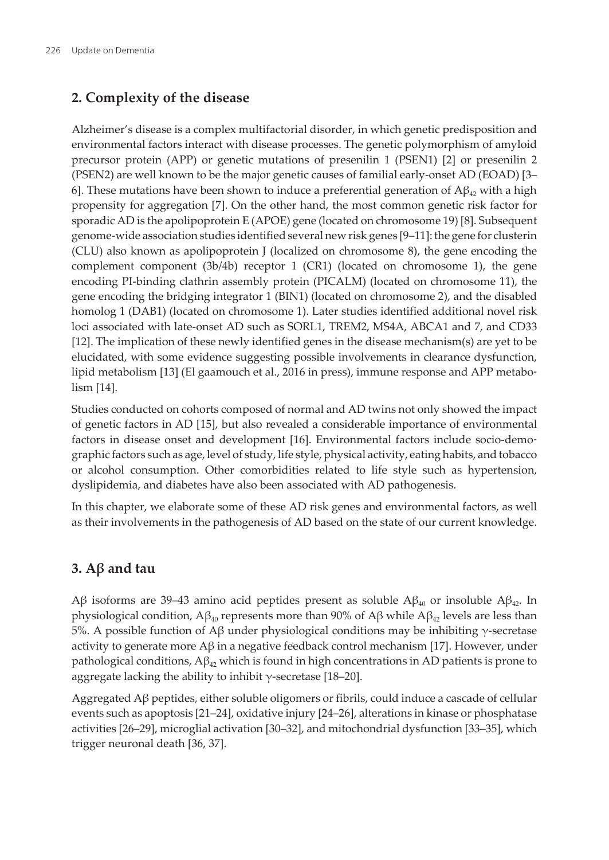### **2. Complexity of the disease**

Alzheimer's disease is a complex multifactorial disorder, in which genetic predisposition and environmental factors interact with disease processes. The genetic polymorphism of amyloid precursor protein (APP) or genetic mutations of presenilin 1 (PSEN1) [\[2\]](#page-9-0) or presenilin 2 (PSEN2) are well known to be the major genetic causes of familial early-onset AD (EOAD) [\[3–](#page-9-0) [6](#page-10-0)]. These mutations have been shown to induce a preferential generation of  $A\beta_{42}$  with a high propensity for aggregation [[7](#page-10-0)]. On the other hand, the most common genetic risk factor for sporadic AD is the apolipoprotein E (APOE) gene (located on chromosome 19) [[8](#page-10-0)]. Subsequent genome-wide association studies identified several new risk genes [\[9–11](#page-10-0)]: the gene for clusterin (CLU) also known as apolipoprotein J (localized on chromosome 8), the gene encoding the complement component (3b/4b) receptor 1 (CR1) (located on chromosome 1), the gene encoding PI-binding clathrin assembly protein (PICALM) (located on chromosome 11), the gene encoding the bridging integrator 1 (BIN1) (located on chromosome 2), and the disabled homolog 1 (DAB1) (located on chromosome 1). Later studies identified additional novel risk loci associated with late-onset AD such as SORL1, TREM2, MS4A, ABCA1 and 7, and CD33 [[12\]](#page-10-0). The implication of these newly identified genes in the disease mechanism(s) are yet to be elucidated, with some evidence suggesting possible involvements in clearance dysfunction, lipid metabolism [\[13](#page-10-0)] (El gaamouch et al., 2016 in press), immune response and APP metabo‐ lism [[14\]](#page-10-0).

Studies conducted on cohorts composed of normal and AD twins not only showed the impact of genetic factors in AD [[15\]](#page-10-0), but also revealed a considerable importance of environmental factors in disease onset and development [\[16](#page-10-0)]. Environmental factors include socio-demographic factors such as age, level of study, life style, physical activity, eating habits, and tobacco or alcohol consumption. Other comorbidities related to life style such as hypertension, dyslipidemia, and diabetes have also been associated with AD pathogenesis.

In this chapter, we elaborate some of these AD risk genes and environmental factors, as well as their involvements in the pathogenesis of AD based on the state of our current knowledge.

### **3. Aβ and tau**

Aβ isoforms are 39–43 amino acid peptides present as soluble Aβ<sub>40</sub> or insoluble Aβ<sub>42</sub>. In physiological condition,  $\beta_{40}$  represents more than 90% of  $\beta_{40}$  while  $\beta_{42}$  levels are less than 5%. A possible function of Aβ under physiological conditions may be inhibiting γ-secretase activity to generate more  $\mathbf{A}\beta$  in a negative feedback control mechanism [\[17](#page-10-0)]. However, under pathological conditions,  $A\beta_{42}$  which is found in high concentrations in AD patients is prone to aggregate lacking the ability to inhibit  $\gamma$ -secretase [\[18](#page-10-0)–[20\]](#page-11-0).

Aggregated Aβ peptides, either soluble oligomers or fibrils, could induce a cascade of cellular events such as apoptosis [[21–24](#page-11-0)], oxidative injury [[24–26](#page-11-0)], alterations in kinase or phosphatase activities [\[26](#page-11-0)–[29\]](#page-11-0), microglial activation [\[30](#page-11-0)–[32\]](#page-12-0), and mitochondrial dysfunction [[33–35](#page-12-0)], which trigger neuronal death [[36, 37](#page-12-0)].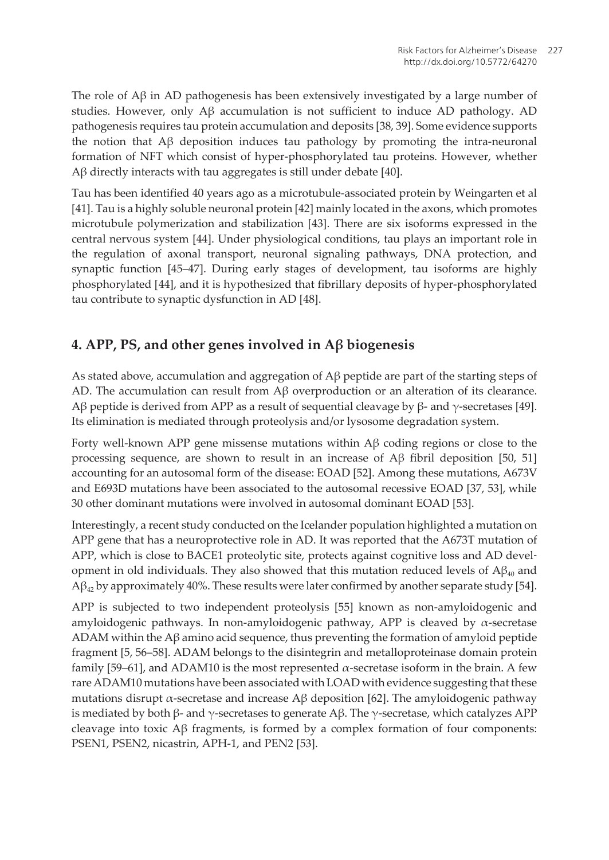The role of  $A\beta$  in AD pathogenesis has been extensively investigated by a large number of studies. However, only  $\mathcal{A}\beta$  accumulation is not sufficient to induce AD pathology. AD pathogenesis requires tau protein accumulation and deposits [[38, 39](#page-12-0)]. Some evidence supports the notion that  $\overrightarrow{AB}$  deposition induces tau pathology by promoting the intra-neuronal formation of NFT which consist of hyper-phosphorylated tau proteins. However, whether Aβ directly interacts with tau aggregates is still under debate [[40\]](#page-12-0).

Tau has been identified 40 years ago as a microtubule-associated protein by Weingarten et al [[41\]](#page-12-0). Tau is a highly soluble neuronal protein [\[42](#page-12-0)] mainly located in the axons, which promotes microtubule polymerization and stabilization [[43\]](#page-12-0). There are six isoforms expressed in the central nervous system [\[44](#page-12-0)]. Under physiological conditions, tau plays an important role in the regulation of axonal transport, neuronal signaling pathways, DNA protection, and synaptic function [[45–](#page-12-0)[47](#page-13-0)]. During early stages of development, tau isoforms are highly phosphorylated [[44\]](#page-12-0), and it is hypothesized that fibrillary deposits of hyper-phosphorylated tau contribute to synaptic dysfunction in AD [\[48](#page-13-0)].

### **4. APP, PS, and other genes involved in Aβ biogenesis**

As stated above, accumulation and aggregation of Aβ peptide are part of the starting steps of AD. The accumulation can result from Aβ overproduction or an alteration of its clearance. Aβ peptide is derived from APP as a result of sequential cleavage by β- and  $\gamma$ -secretases [\[49\]](#page-13-0). Its elimination is mediated through proteolysis and/or lysosome degradation system.

Forty well-known APP gene missense mutations within Aβ coding regions or close to the processing sequence, are shown to result in an increase of Aβ fibril deposition [[50,](#page-13-0) [51](#page-13-0)] accounting for an autosomal form of the disease: EOAD [\[52](#page-13-0)]. Among these mutations, A673V and E693D mutations have been associated to the autosomal recessive EOAD [\[37](#page-12-0), [53](#page-13-0)], while 30 other dominant mutations were involved in autosomal dominant EOAD [\[53](#page-13-0)].

Interestingly, a recent study conducted on the Icelander population highlighted a mutation on APP gene that has a neuroprotective role in AD. It was reported that the A673T mutation of APP, which is close to BACE1 proteolytic site, protects against cognitive loss and AD development in old individuals. They also showed that this mutation reduced levels of  $A\beta_{40}$  and  $\mathcal{A}\beta_{42}$  by approximately 40%. These results were later confirmed by another separate study [[54\]](#page-13-0).

APP is subjected to two independent proteolysis [[55\]](#page-13-0) known as non-amyloidogenic and amyloidogenic pathways. In non-amyloidogenic pathway, APP is cleaved by  $\alpha$ -secretase ADAM within the A $\beta$  amino acid sequence, thus preventing the formation of amyloid peptide fragment [\[5,](#page-10-0) [56](#page-13-0)–[58\]](#page-14-0). ADAM belongs to the disintegrin and metalloproteinase domain protein family [[59–61](#page-14-0)], and ADAM10 is the most represented  $\alpha$ -secretase isoform in the brain. A few rare ADAM10 mutations have been associated with LOAD with evidence suggesting that these mutations disrupt α-secretase and increase  $\text{A}\beta$  deposition [[62\]](#page-14-0). The amyloidogenic pathway is mediated by both β- and γ-secretases to generate  $\text{A}\beta$ . The γ-secretase, which catalyzes APP cleavage into toxic  $\beta$  fragments, is formed by a complex formation of four components: PSEN1, PSEN2, nicastrin, APH-1, and PEN2 [[53\]](#page-13-0).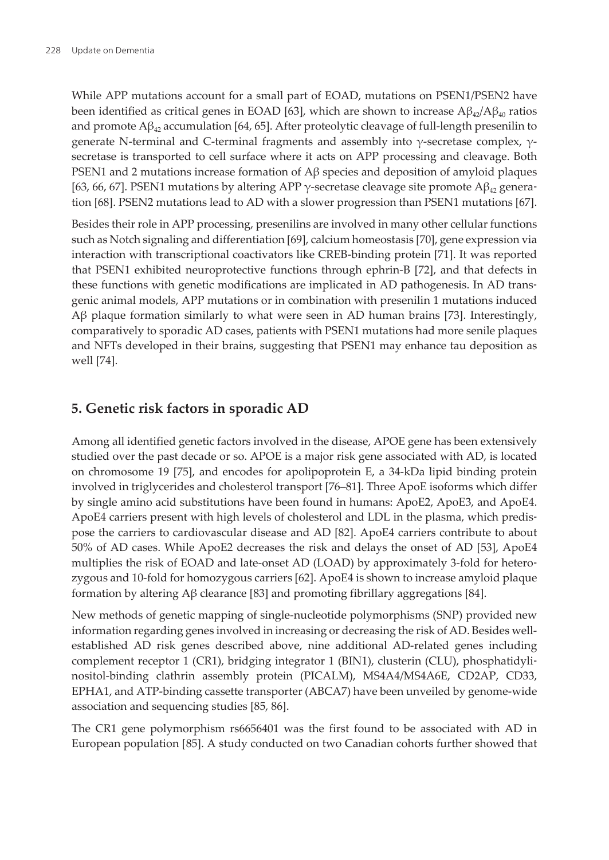While APP mutations account for a small part of EOAD, mutations on PSEN1/PSEN2 have been identified as critical genes in EOAD [[63\]](#page-14-0), which are shown to increase  $A\beta_{4/2}/A\beta_{40}$  ratios and promote  $A\beta_{4}$  accumulation [\[64](#page-14-0), [65\]](#page-14-0). After proteolytic cleavage of full-length presenilin to generate N-terminal and C-terminal fragments and assembly into γ-secretase complex, γsecretase is transported to cell surface where it acts on APP processing and cleavage. Both PSEN1 and 2 mutations increase formation of Aβ species and deposition of amyloid plaques [[63, 66](#page-14-0), [67\]](#page-14-0). PSEN1 mutations by altering APP  $\gamma$ -secretase cleavage site promote A $\beta_4$ , generation [\[68](#page-14-0)]. PSEN2 mutations lead to AD with a slower progression than PSEN1 mutations [\[67\]](#page-14-0).

Besides their role in APP processing, presenilins are involved in many other cellular functions such as Notch signaling and differentiation [\[69](#page-14-0)], calcium homeostasis [\[70](#page-15-0)], gene expression via interaction with transcriptional coactivators like CREB-binding protein [[71\]](#page-15-0). It was reported that PSEN1 exhibited neuroprotective functions through ephrin-B [\[72](#page-15-0)], and that defects in these functions with genetic modifications are implicated in AD pathogenesis. In AD trans‐ genic animal models, APP mutations or in combination with presenilin 1 mutations induced Aβ plaque formation similarly to what were seen in AD human brains [[73\]](#page-15-0). Interestingly, comparatively to sporadic AD cases, patients with PSEN1 mutations had more senile plaques and NFTs developed in their brains, suggesting that PSEN1 may enhance tau deposition as well [[74\]](#page-15-0).

### **5. Genetic risk factors in sporadic AD**

Among all identified genetic factors involved in the disease, APOE gene has been extensively studied over the past decade or so. APOE is a major risk gene associated with AD, is located on chromosome 19 [\[75](#page-15-0)], and encodes for apolipoprotein E, a 34-kDa lipid binding protein involved in triglycerides and cholesterol transport [\[76](#page-15-0)–[81\]](#page-15-0). Three ApoE isoforms which differ by single amino acid substitutions have been found in humans: ApoE2, ApoE3, and ApoE4. ApoE4 carriers present with high levels of cholesterol and LDL in the plasma, which predis‐ pose the carriers to cardiovascular disease and AD [[82\]](#page-15-0). ApoE4 carriers contribute to about 50% of AD cases. While ApoE2 decreases the risk and delays the onset of AD [[53\]](#page-13-0), ApoE4 multiplies the risk of EOAD and late-onset AD (LOAD) by approximately 3-fold for heterozygous and 10-fold for homozygous carriers [\[62](#page-14-0)]. ApoE4 is shown to increase amyloid plaque formation by altering Aβ clearance [[83\]](#page-16-0) and promoting fibrillary aggregations [\[84](#page-16-0)].

New methods of genetic mapping of single-nucleotide polymorphisms (SNP) provided new information regarding genes involved in increasing or decreasing the risk of AD. Besides wellestablished AD risk genes described above, nine additional AD-related genes including complement receptor 1 (CR1), bridging integrator 1 (BIN1), clusterin (CLU), phosphatidylinositol-binding clathrin assembly protein (PICALM), MS4A4/MS4A6E, CD2AP, CD33, EPHA1, and ATP-binding cassette transporter (ABCA7) have been unveiled by genome-wide association and sequencing studies [\[85](#page-16-0), [86\]](#page-16-0).

The CR1 gene polymorphism rs6656401 was the first found to be associated with AD in European population [\[85](#page-16-0)]. A study conducted on two Canadian cohorts further showed that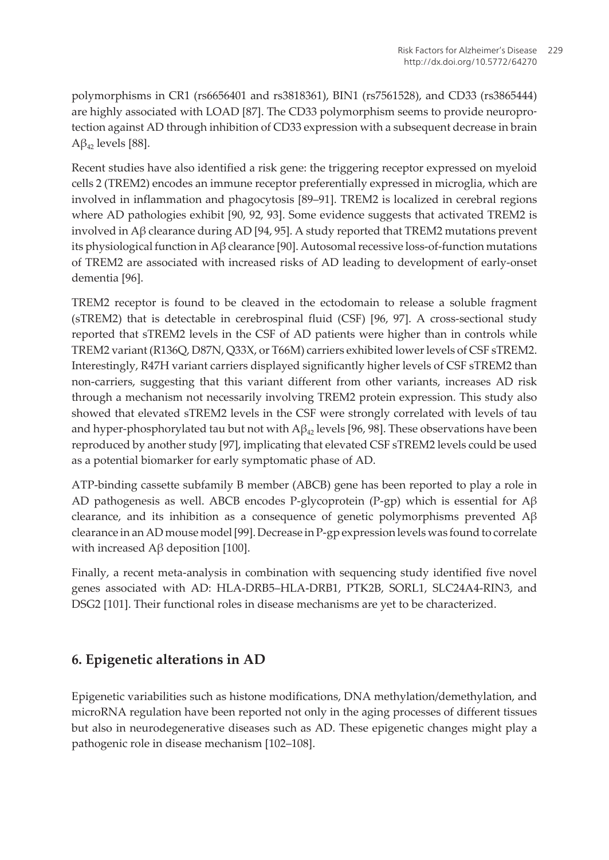polymorphisms in CR1 (rs6656401 and rs3818361), BIN1 (rs7561528), and CD33 (rs3865444) are highly associated with LOAD [[87\]](#page-16-0). The CD33 polymorphism seems to provide neuroprotection against AD through inhibition of CD33 expression with a subsequent decrease in brain  $A\beta_{42}$  levels [[88\]](#page-16-0).

Recent studies have also identified a risk gene: the triggering receptor expressed on myeloid cells 2 (TREM2) encodes an immune receptor preferentially expressed in microglia, which are involved in inflammation and phagocytosis [[89–91](#page-16-0)]. TREM2 is localized in cerebral regions where AD pathologies exhibit [\[90](#page-16-0), [92](#page-16-0), [93\]](#page-16-0). Some evidence suggests that activated TREM2 is involved in Aβ clearance during AD [\[94](#page-16-0), [95](#page-17-0)]. A study reported that TREM2 mutations prevent its physiological function in Aβ clearance [\[90](#page-16-0)]. Autosomal recessive loss-of-function mutations of TREM2 are associated with increased risks of AD leading to development of early-onset dementia [\[96](#page-17-0)].

TREM2 receptor is found to be cleaved in the ectodomain to release a soluble fragment (sTREM2) that is detectable in cerebrospinal fluid (CSF) [\[96](#page-17-0), [97](#page-17-0)]. A cross-sectional study reported that sTREM2 levels in the CSF of AD patients were higher than in controls while TREM2 variant (R136Q, D87N, Q33X, or T66M) carriers exhibited lower levels of CSF sTREM2. Interestingly, R47H variant carriers displayed significantly higher levels of CSF sTREM2 than non-carriers, suggesting that this variant different from other variants, increases AD risk through a mechanism not necessarily involving TREM2 protein expression. This study also showed that elevated sTREM2 levels in the CSF were strongly correlated with levels of tau and hyper-phosphorylated tau but not with  $A\beta_{42}$  levels [\[96](#page-17-0), [98](#page-17-0)]. These observations have been reproduced by another study [[97\]](#page-17-0), implicating that elevated CSF sTREM2 levels could be used as a potential biomarker for early symptomatic phase of AD.

ATP-binding cassette subfamily B member (ABCB) gene has been reported to play a role in AD pathogenesis as well. ABCB encodes P-glycoprotein (P-gp) which is essential for  $\mathbf{A}\beta$ clearance, and its inhibition as a consequence of genetic polymorphisms prevented  $A\beta$ clearance in an AD mouse model [\[99](#page-17-0)]. Decrease in P-gp expression levels was found to correlate with increased  $Aβ$  deposition [\[100\]](#page-17-0).

Finally, a recent meta-analysis in combination with sequencing study identified five novel genes associated with AD: HLA-DRB5–HLA-DRB1, PTK2B, SORL1, SLC24A4-RIN3, and DSG2 [\[101](#page-17-0)]. Their functional roles in disease mechanisms are yet to be characterized.

### **6. Epigenetic alterations in AD**

Epigenetic variabilities such as histone modifications, DNA methylation/demethylation, and microRNA regulation have been reported not only in the aging processes of different tissues but also in neurodegenerative diseases such as AD. These epigenetic changes might play a pathogenic role in disease mechanism [[102](#page-17-0)–[108](#page-17-0)].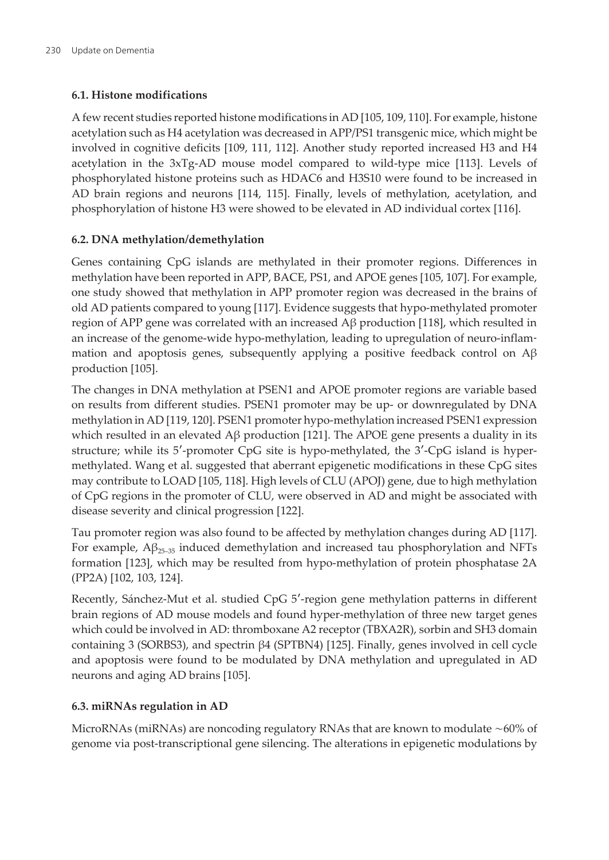#### **6.1. Histone modifications**

A few recent studies reported histone modifications in AD [[105](#page-17-0), [109](#page-17-0), [110\]](#page-18-0). For example, histone acetylation such as H4 acetylation was decreased in APP/PS1 transgenic mice, which might be involved in cognitive deficits [\[109,](#page-17-0) [111,](#page-18-0) [112](#page-18-0)]. Another study reported increased H3 and H4 acetylation in the 3xTg-AD mouse model compared to wild-type mice [[113](#page-18-0)]. Levels of phosphorylated histone proteins such as HDAC6 and H3S10 were found to be increased in AD brain regions and neurons [\[114,](#page-18-0) [115](#page-18-0)]. Finally, levels of methylation, acetylation, and phosphorylation of histone H3 were showed to be elevated in AD individual cortex [[116](#page-18-0)].

#### **6.2. DNA methylation/demethylation**

Genes containing CpG islands are methylated in their promoter regions. Differences in methylation have been reported in APP, BACE, PS1, and APOE genes [[105](#page-17-0), [107\]](#page-17-0). For example, one study showed that methylation in APP promoter region was decreased in the brains of old AD patients compared to young [[117](#page-18-0)]. Evidence suggests that hypo-methylated promoter region of APP gene was correlated with an increased  $\text{A}β$  production [\[118\]](#page-18-0), which resulted in an increase of the genome-wide hypo-methylation, leading to upregulation of neuro-inflam‐ mation and apoptosis genes, subsequently applying a positive feedback control on  $A\beta$ production [\[105\]](#page-17-0).

The changes in DNA methylation at PSEN1 and APOE promoter regions are variable based on results from different studies. PSEN1 promoter may be up- or downregulated by DNA methylation in AD [[119](#page-18-0), [120](#page-18-0)]. PSEN1 promoter hypo-methylation increased PSEN1 expression which resulted in an elevated  $\beta$ β production [[121](#page-18-0)]. The APOE gene presents a duality in its structure; while its 5′-promoter CpG site is hypo-methylated, the 3′-CpG island is hypermethylated. Wang et al. suggested that aberrant epigenetic modifications in these CpG sites may contribute to LOAD [\[105,](#page-17-0) [118](#page-18-0)]. High levels of CLU (APOJ) gene, due to high methylation of CpG regions in the promoter of CLU, were observed in AD and might be associated with disease severity and clinical progression [\[122\]](#page-18-0).

Tau promoter region was also found to be affected by methylation changes during AD [\[117\]](#page-18-0). For example,  $A\beta_{25-35}$  induced demethylation and increased tau phosphorylation and NFTs formation [\[123\]](#page-18-0), which may be resulted from hypo-methylation of protein phosphatase 2A (PP2A) [\[102, 103,](#page-17-0) [124\]](#page-19-0).

Recently, Sánchez-Mut et al. studied CpG 5′-region gene methylation patterns in different brain regions of AD mouse models and found hyper-methylation of three new target genes which could be involved in AD: thromboxane A2 receptor (TBXA2R), sorbin and SH3 domain containing 3 (SORBS3), and spectrin β4 (SPTBN4) [[125](#page-19-0)]. Finally, genes involved in cell cycle and apoptosis were found to be modulated by DNA methylation and upregulated in AD neurons and aging AD brains [[105](#page-17-0)].

### **6.3. miRNAs regulation in AD**

MicroRNAs (miRNAs) are noncoding regulatory RNAs that are known to modulate ∼60% of genome via post-transcriptional gene silencing. The alterations in epigenetic modulations by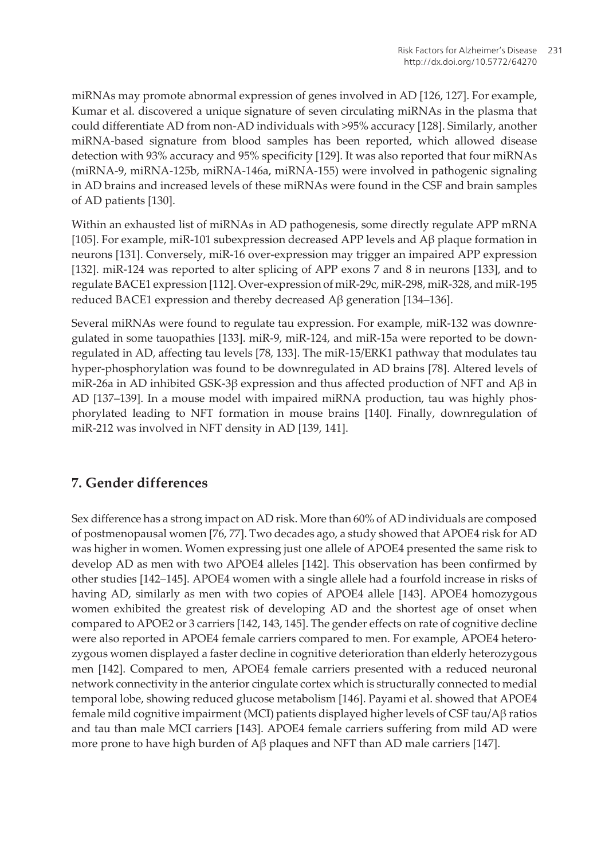miRNAs may promote abnormal expression of genes involved in AD [\[126, 127](#page-19-0)]. For example, Kumar et al. discovered a unique signature of seven circulating miRNAs in the plasma that could differentiate AD from non-AD individuals with >95% accuracy [[128](#page-19-0)]. Similarly, another miRNA-based signature from blood samples has been reported, which allowed disease detection with 93% accuracy and 95% specificity [[129](#page-19-0)]. It was also reported that four miRNAs (miRNA-9, miRNA-125b, miRNA-146a, miRNA-155) were involved in pathogenic signaling in AD brains and increased levels of these miRNAs were found in the CSF and brain samples of AD patients [\[130\]](#page-19-0).

Within an exhausted list of miRNAs in AD pathogenesis, some directly regulate APP mRNA [[105](#page-17-0)]. For example, miR-101 subexpression decreased APP levels and Aβ plaque formation in neurons [[131](#page-19-0)]. Conversely, miR-16 over-expression may trigger an impaired APP expression [[132](#page-19-0)]. miR-124 was reported to alter splicing of APP exons 7 and 8 in neurons [[133](#page-19-0)], and to regulate BACE1 expression [\[112\]](#page-18-0). Over-expression of miR-29c, miR-298, miR-328, and miR-195 reduced BACE1 expression and thereby decreased Aβ generation [\[134–136\]](#page-19-0).

Several miRNAs were found to regulate tau expression. For example, miR-132 was downre‐ gulated in some tauopathies [[133](#page-19-0)]. miR-9, miR-124, and miR-15a were reported to be downregulated in AD, affecting tau levels [\[78](#page-15-0), [133](#page-19-0)]. The miR-15/ERK1 pathway that modulates tau hyper-phosphorylation was found to be downregulated in AD brains [[78\]](#page-15-0). Altered levels of miR-26a in AD inhibited GSK-3β expression and thus affected production of NFT and Aβ in AD [[137](#page-19-0)–[139](#page-20-0)]. In a mouse model with impaired miRNA production, tau was highly phos‐ phorylated leading to NFT formation in mouse brains [[140](#page-20-0)]. Finally, downregulation of miR-212 was involved in NFT density in AD [\[139, 141\]](#page-20-0).

### **7. Gender differences**

Sex difference has a strong impact on AD risk. More than 60% of AD individuals are composed of postmenopausal women [\[76](#page-15-0), [77](#page-15-0)]. Two decades ago, a study showed that APOE4 risk for AD was higher in women. Women expressing just one allele of APOE4 presented the same risk to develop AD as men with two APOE4 alleles [\[142\]](#page-20-0). This observation has been confirmed by other studies [\[142–145\]](#page-20-0). APOE4 women with a single allele had a fourfold increase in risks of having AD, similarly as men with two copies of APOE4 allele [[143](#page-20-0)]. APOE4 homozygous women exhibited the greatest risk of developing AD and the shortest age of onset when compared to APOE2 or 3 carriers [[142](#page-20-0), [143](#page-20-0), [145\]](#page-20-0). The gender effects on rate of cognitive decline were also reported in APOE4 female carriers compared to men. For example, APOE4 heterozygous women displayed a faster decline in cognitive deterioration than elderly heterozygous men [[142](#page-20-0)]. Compared to men, APOE4 female carriers presented with a reduced neuronal network connectivity in the anterior cingulate cortex which is structurally connected to medial temporal lobe, showing reduced glucose metabolism [[146](#page-20-0)]. Payami et al. showed that APOE4 female mild cognitive impairment (MCI) patients displayed higher levels of CSF tau/Aβ ratios and tau than male MCI carriers [[143](#page-20-0)]. APOE4 female carriers suffering from mild AD were more prone to have high burden of  $A\beta$  plaques and NFT than AD male carriers [\[147\]](#page-20-0).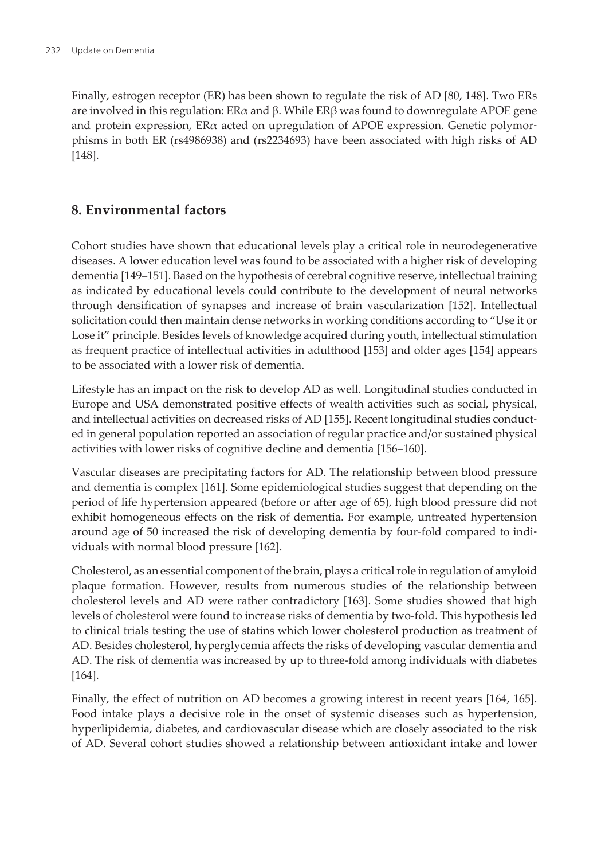Finally, estrogen receptor (ER) has been shown to regulate the risk of AD [[80,](#page-15-0) [148\]](#page-20-0). Two ERs are involved in this regulation: ERα and β. While ERβ was found to downregulate APOE gene and protein expression,  $ER\alpha$  acted on upregulation of APOE expression. Genetic polymorphisms in both ER (rs4986938) and (rs2234693) have been associated with high risks of AD [[148](#page-20-0)].

### **8. Environmental factors**

Cohort studies have shown that educational levels play a critical role in neurodegenerative diseases. A lower education level was found to be associated with a higher risk of developing dementia [[149](#page-20-0)–[151](#page-21-0)]. Based on the hypothesis of cerebral cognitive reserve, intellectual training as indicated by educational levels could contribute to the development of neural networks through densification of synapses and increase of brain vascularization [\[152\]](#page-21-0). Intellectual solicitation could then maintain dense networks in working conditions according to "Use it or Lose it" principle. Besides levels of knowledge acquired during youth, intellectual stimulation as frequent practice of intellectual activities in adulthood [[153](#page-21-0)] and older ages [[154](#page-21-0)] appears to be associated with a lower risk of dementia.

Lifestyle has an impact on the risk to develop AD as well. Longitudinal studies conducted in Europe and USA demonstrated positive effects of wealth activities such as social, physical, and intellectual activities on decreased risks of AD [[155](#page-21-0)]. Recent longitudinal studies conducted in general population reported an association of regular practice and/or sustained physical activities with lower risks of cognitive decline and dementia [\[156–160\]](#page-21-0).

Vascular diseases are precipitating factors for AD. The relationship between blood pressure and dementia is complex [[161](#page-21-0)]. Some epidemiological studies suggest that depending on the period of life hypertension appeared (before or after age of 65), high blood pressure did not exhibit homogeneous effects on the risk of dementia. For example, untreated hypertension around age of 50 increased the risk of developing dementia by four-fold compared to indi‐ viduals with normal blood pressure [[162](#page-21-0)].

Cholesterol, as an essential component of the brain, plays a critical role in regulation of amyloid plaque formation. However, results from numerous studies of the relationship between cholesterol levels and AD were rather contradictory [[163](#page-22-0)]. Some studies showed that high levels of cholesterol were found to increase risks of dementia by two-fold. This hypothesis led to clinical trials testing the use of statins which lower cholesterol production as treatment of AD. Besides cholesterol, hyperglycemia affects the risks of developing vascular dementia and AD. The risk of dementia was increased by up to three-fold among individuals with diabetes [[164](#page-22-0)].

Finally, the effect of nutrition on AD becomes a growing interest in recent years [[164](#page-22-0), [165\]](#page-22-0). Food intake plays a decisive role in the onset of systemic diseases such as hypertension, hyperlipidemia, diabetes, and cardiovascular disease which are closely associated to the risk of AD. Several cohort studies showed a relationship between antioxidant intake and lower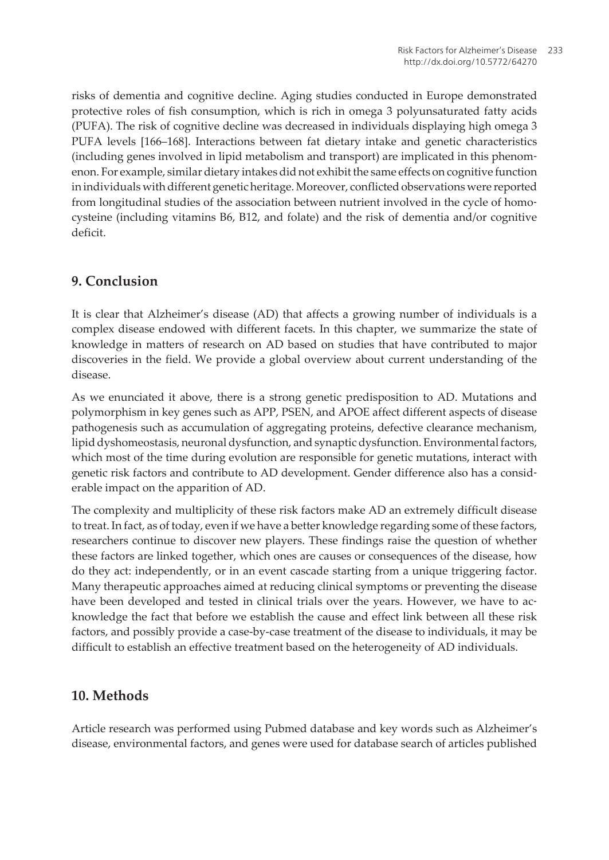risks of dementia and cognitive decline. Aging studies conducted in Europe demonstrated protective roles of fish consumption, which is rich in omega 3 polyunsaturated fatty acids (PUFA). The risk of cognitive decline was decreased in individuals displaying high omega 3 PUFA levels [\[166–168\]](#page-22-0). Interactions between fat dietary intake and genetic characteristics (including genes involved in lipid metabolism and transport) are implicated in this phenom‐ enon. For example, similar dietary intakes did not exhibit the same effects on cognitive function in individuals with different genetic heritage. Moreover, conflicted observations were reported from longitudinal studies of the association between nutrient involved in the cycle of homocysteine (including vitamins B6, B12, and folate) and the risk of dementia and/or cognitive deficit.

### **9. Conclusion**

It is clear that Alzheimer's disease (AD) that affects a growing number of individuals is a complex disease endowed with different facets. In this chapter, we summarize the state of knowledge in matters of research on AD based on studies that have contributed to major discoveries in the field. We provide a global overview about current understanding of the disease.

As we enunciated it above, there is a strong genetic predisposition to AD. Mutations and polymorphism in key genes such as APP, PSEN, and APOE affect different aspects of disease pathogenesis such as accumulation of aggregating proteins, defective clearance mechanism, lipid dyshomeostasis, neuronal dysfunction, and synaptic dysfunction. Environmental factors, which most of the time during evolution are responsible for genetic mutations, interact with genetic risk factors and contribute to AD development. Gender difference also has a considerable impact on the apparition of AD.

The complexity and multiplicity of these risk factors make AD an extremely difficult disease to treat. In fact, as of today, even if we have a better knowledge regarding some of these factors, researchers continue to discover new players. These findings raise the question of whether these factors are linked together, which ones are causes or consequences of the disease, how do they act: independently, or in an event cascade starting from a unique triggering factor. Many therapeutic approaches aimed at reducing clinical symptoms or preventing the disease have been developed and tested in clinical trials over the years. However, we have to acknowledge the fact that before we establish the cause and effect link between all these risk factors, and possibly provide a case-by-case treatment of the disease to individuals, it may be difficult to establish an effective treatment based on the heterogeneity of AD individuals.

### **10. Methods**

Article research was performed using Pubmed database and key words such as Alzheimer's disease, environmental factors, and genes were used for database search of articles published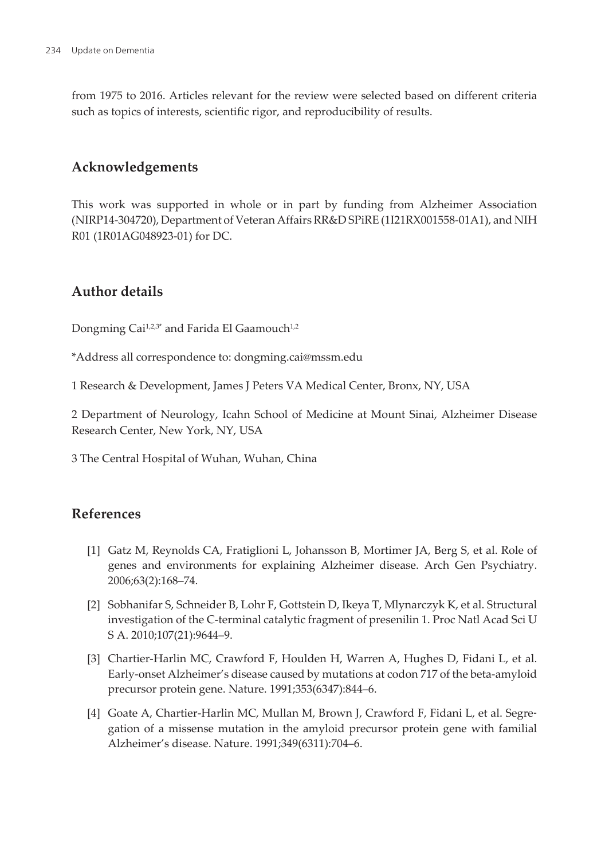<span id="page-9-0"></span>from 1975 to 2016. Articles relevant for the review were selected based on different criteria such as topics of interests, scientific rigor, and reproducibility of results.

### **Acknowledgements**

This work was supported in whole or in part by funding from Alzheimer Association (NIRP14-304720), Department of Veteran Affairs RR&D SPiRE (1I21RX001558-01A1), and NIH R01 (1R01AG048923-01) for DC.

## **Author details**

Dongming Cai<sup>1,2,3\*</sup> and Farida El Gaamouch<sup>1,2</sup>

\*Address all correspondence to: dongming.cai@mssm.edu

1 Research & Development, James J Peters VA Medical Center, Bronx, NY, USA

2 Department of Neurology, Icahn School of Medicine at Mount Sinai, Alzheimer Disease Research Center, New York, NY, USA

3 The Central Hospital of Wuhan, Wuhan, China

### **References**

- [1] Gatz M, Reynolds CA, Fratiglioni L, Johansson B, Mortimer JA, Berg S, et al. Role of genes and environments for explaining Alzheimer disease. Arch Gen Psychiatry. 2006;63(2):168–74.
- [2] Sobhanifar S, Schneider B, Lohr F, Gottstein D, Ikeya T, Mlynarczyk K, et al. Structural investigation of the C-terminal catalytic fragment of presenilin 1. Proc Natl Acad Sci U S A. 2010;107(21):9644–9.
- [3] Chartier-Harlin MC, Crawford F, Houlden H, Warren A, Hughes D, Fidani L, et al. Early-onset Alzheimer's disease caused by mutations at codon 717 of the beta-amyloid precursor protein gene. Nature. 1991;353(6347):844–6.
- [4] Goate A, Chartier-Harlin MC, Mullan M, Brown J, Crawford F, Fidani L, et al. Segre‐ gation of a missense mutation in the amyloid precursor protein gene with familial Alzheimer's disease. Nature. 1991;349(6311):704–6.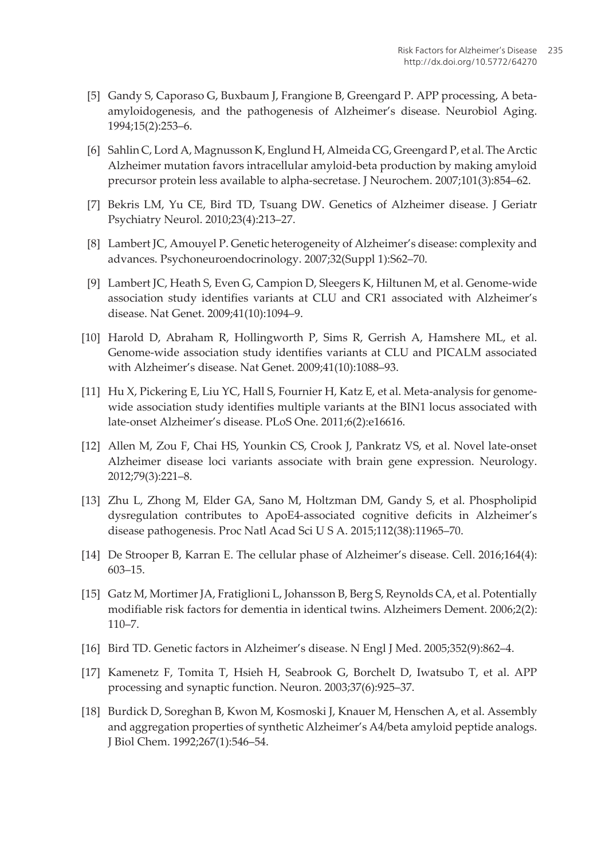- <span id="page-10-0"></span>[5] Gandy S, Caporaso G, Buxbaum J, Frangione B, Greengard P. APP processing, A betaamyloidogenesis, and the pathogenesis of Alzheimer's disease. Neurobiol Aging. 1994;15(2):253–6.
- [6] Sahlin C, Lord A, Magnusson K, Englund H, Almeida CG, Greengard P, et al. The Arctic Alzheimer mutation favors intracellular amyloid-beta production by making amyloid precursor protein less available to alpha-secretase. J Neurochem. 2007;101(3):854–62.
- [7] Bekris LM, Yu CE, Bird TD, Tsuang DW. Genetics of Alzheimer disease. J Geriatr Psychiatry Neurol. 2010;23(4):213–27.
- [8] Lambert JC, Amouyel P. Genetic heterogeneity of Alzheimer's disease: complexity and advances. Psychoneuroendocrinology. 2007;32(Suppl 1):S62–70.
- [9] Lambert JC, Heath S, Even G, Campion D, Sleegers K, Hiltunen M, et al. Genome-wide association study identifies variants at CLU and CR1 associated with Alzheimer's disease. Nat Genet. 2009;41(10):1094–9.
- [10] Harold D, Abraham R, Hollingworth P, Sims R, Gerrish A, Hamshere ML, et al. Genome-wide association study identifies variants at CLU and PICALM associated with Alzheimer's disease. Nat Genet. 2009;41(10):1088–93.
- [11] Hu X, Pickering E, Liu YC, Hall S, Fournier H, Katz E, et al. Meta-analysis for genomewide association study identifies multiple variants at the BIN1 locus associated with late-onset Alzheimer's disease. PLoS One. 2011;6(2):e16616.
- [12] Allen M, Zou F, Chai HS, Younkin CS, Crook J, Pankratz VS, et al. Novel late-onset Alzheimer disease loci variants associate with brain gene expression. Neurology. 2012;79(3):221–8.
- [13] Zhu L, Zhong M, Elder GA, Sano M, Holtzman DM, Gandy S, et al. Phospholipid dysregulation contributes to ApoE4-associated cognitive deficits in Alzheimer's disease pathogenesis. Proc Natl Acad Sci U S A. 2015;112(38):11965–70.
- [14] De Strooper B, Karran E. The cellular phase of Alzheimer's disease. Cell. 2016;164(4): 603–15.
- [15] Gatz M, Mortimer JA, Fratiglioni L, Johansson B, Berg S, Reynolds CA, et al. Potentially modifiable risk factors for dementia in identical twins. Alzheimers Dement. 2006;2(2): 110–7.
- [16] Bird TD. Genetic factors in Alzheimer's disease. N Engl J Med. 2005;352(9):862–4.
- [17] Kamenetz F, Tomita T, Hsieh H, Seabrook G, Borchelt D, Iwatsubo T, et al. APP processing and synaptic function. Neuron. 2003;37(6):925–37.
- [18] Burdick D, Soreghan B, Kwon M, Kosmoski J, Knauer M, Henschen A, et al. Assembly and aggregation properties of synthetic Alzheimer's A4/beta amyloid peptide analogs. J Biol Chem. 1992;267(1):546–54.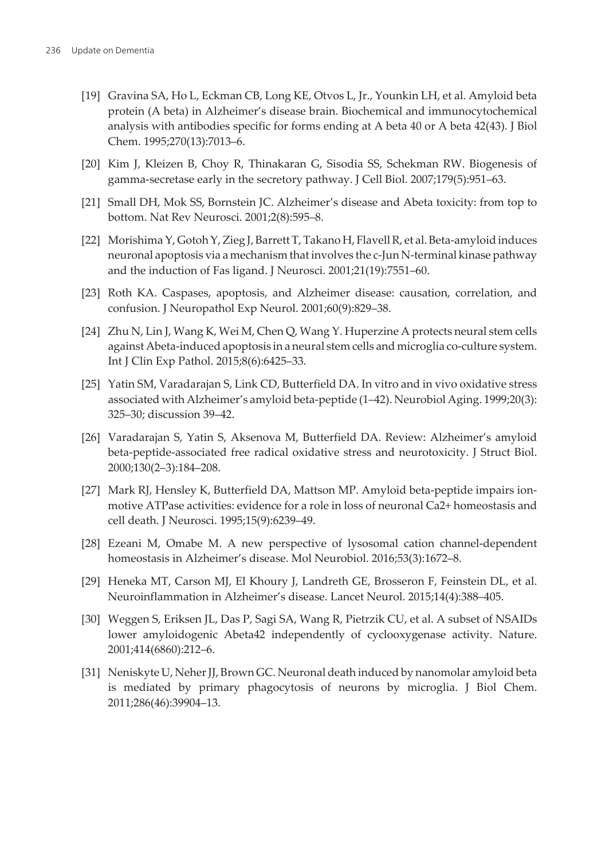- <span id="page-11-0"></span>[19] Gravina SA, Ho L, Eckman CB, Long KE, Otvos L, Jr., Younkin LH, et al. Amyloid beta protein (A beta) in Alzheimer's disease brain. Biochemical and immunocytochemical analysis with antibodies specific for forms ending at A beta 40 or A beta 42(43). J Biol Chem. 1995;270(13):7013–6.
- [20] Kim J, Kleizen B, Choy R, Thinakaran G, Sisodia SS, Schekman RW. Biogenesis of gamma-secretase early in the secretory pathway. J Cell Biol. 2007;179(5):951–63.
- [21] Small DH, Mok SS, Bornstein JC. Alzheimer's disease and Abeta toxicity: from top to bottom. Nat Rev Neurosci. 2001;2(8):595–8.
- [22] Morishima Y, Gotoh Y, Zieg J, Barrett T, Takano H, Flavell R, et al. Beta-amyloid induces neuronal apoptosis via a mechanism that involves the c-Jun N-terminal kinase pathway and the induction of Fas ligand. J Neurosci. 2001;21(19):7551–60.
- [23] Roth KA. Caspases, apoptosis, and Alzheimer disease: causation, correlation, and confusion. J Neuropathol Exp Neurol. 2001;60(9):829–38.
- [24] Zhu N, Lin J, Wang K, Wei M, Chen Q, Wang Y. Huperzine A protects neural stem cells against Abeta-induced apoptosis in a neural stem cells and microglia co-culture system. Int J Clin Exp Pathol. 2015;8(6):6425–33.
- [25] Yatin SM, Varadarajan S, Link CD, Butterfield DA. In vitro and in vivo oxidative stress associated with Alzheimer's amyloid beta-peptide (1–42). Neurobiol Aging. 1999;20(3): 325–30; discussion 39–42.
- [26] Varadarajan S, Yatin S, Aksenova M, Butterfield DA. Review: Alzheimer's amyloid beta-peptide-associated free radical oxidative stress and neurotoxicity. J Struct Biol. 2000;130(2–3):184–208.
- [27] Mark RJ, Hensley K, Butterfield DA, Mattson MP. Amyloid beta-peptide impairs ionmotive ATPase activities: evidence for a role in loss of neuronal Ca2+ homeostasis and cell death. J Neurosci. 1995;15(9):6239–49.
- [28] Ezeani M, Omabe M. A new perspective of lysosomal cation channel-dependent homeostasis in Alzheimer's disease. Mol Neurobiol. 2016;53(3):1672–8.
- [29] Heneka MT, Carson MJ, El Khoury J, Landreth GE, Brosseron F, Feinstein DL, et al. Neuroinflammation in Alzheimer's disease. Lancet Neurol. 2015;14(4):388–405.
- [30] Weggen S, Eriksen JL, Das P, Sagi SA, Wang R, Pietrzik CU, et al. A subset of NSAIDs lower amyloidogenic Abeta42 independently of cyclooxygenase activity. Nature. 2001;414(6860):212–6.
- [31] Neniskyte U, Neher JJ, Brown GC. Neuronal death induced by nanomolar amyloid beta is mediated by primary phagocytosis of neurons by microglia. J Biol Chem. 2011;286(46):39904–13.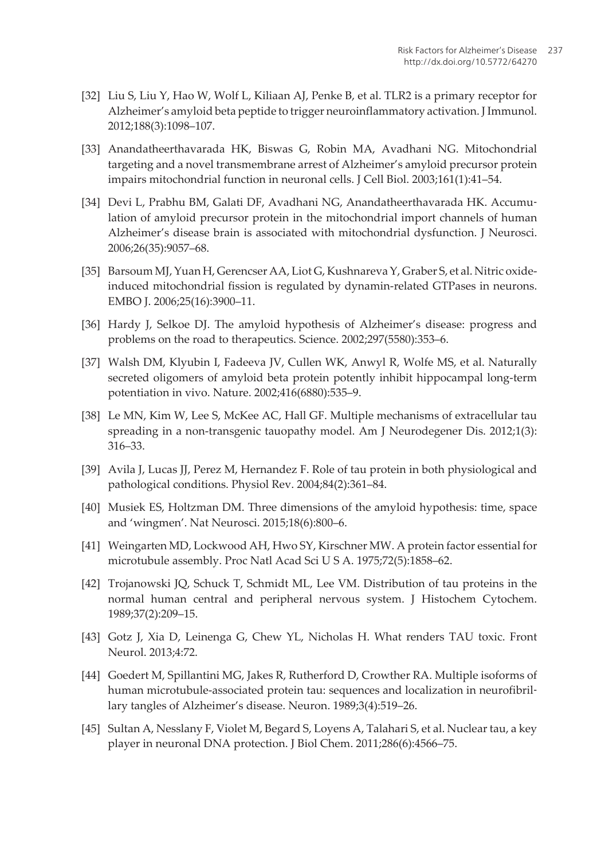- <span id="page-12-0"></span>[32] Liu S, Liu Y, Hao W, Wolf L, Kiliaan AJ, Penke B, et al. TLR2 is a primary receptor for Alzheimer's amyloid beta peptide to trigger neuroinflammatory activation. J Immunol. 2012;188(3):1098–107.
- [33] Anandatheerthavarada HK, Biswas G, Robin MA, Avadhani NG. Mitochondrial targeting and a novel transmembrane arrest of Alzheimer's amyloid precursor protein impairs mitochondrial function in neuronal cells. J Cell Biol. 2003;161(1):41–54.
- [34] Devi L, Prabhu BM, Galati DF, Avadhani NG, Anandatheerthavarada HK. Accumulation of amyloid precursor protein in the mitochondrial import channels of human Alzheimer's disease brain is associated with mitochondrial dysfunction. J Neurosci. 2006;26(35):9057–68.
- [35] Barsoum MJ, Yuan H, Gerencser AA, Liot G, Kushnareva Y, Graber S, et al. Nitric oxideinduced mitochondrial fission is regulated by dynamin-related GTPases in neurons. EMBO J. 2006;25(16):3900–11.
- [36] Hardy J, Selkoe DJ. The amyloid hypothesis of Alzheimer's disease: progress and problems on the road to therapeutics. Science. 2002;297(5580):353–6.
- [37] Walsh DM, Klyubin I, Fadeeva JV, Cullen WK, Anwyl R, Wolfe MS, et al. Naturally secreted oligomers of amyloid beta protein potently inhibit hippocampal long-term potentiation in vivo. Nature. 2002;416(6880):535–9.
- [38] Le MN, Kim W, Lee S, McKee AC, Hall GF. Multiple mechanisms of extracellular tau spreading in a non-transgenic tauopathy model. Am J Neurodegener Dis. 2012;1(3): 316–33.
- [39] Avila J, Lucas JJ, Perez M, Hernandez F. Role of tau protein in both physiological and pathological conditions. Physiol Rev. 2004;84(2):361–84.
- [40] Musiek ES, Holtzman DM. Three dimensions of the amyloid hypothesis: time, space and 'wingmen'. Nat Neurosci. 2015;18(6):800–6.
- [41] Weingarten MD, Lockwood AH, Hwo SY, Kirschner MW. A protein factor essential for microtubule assembly. Proc Natl Acad Sci U S A. 1975;72(5):1858–62.
- [42] Trojanowski JQ, Schuck T, Schmidt ML, Lee VM. Distribution of tau proteins in the normal human central and peripheral nervous system. J Histochem Cytochem. 1989;37(2):209–15.
- [43] Gotz J, Xia D, Leinenga G, Chew YL, Nicholas H. What renders TAU toxic. Front Neurol. 2013;4:72.
- [44] Goedert M, Spillantini MG, Jakes R, Rutherford D, Crowther RA. Multiple isoforms of human microtubule-associated protein tau: sequences and localization in neurofibrillary tangles of Alzheimer's disease. Neuron. 1989;3(4):519–26.
- [45] Sultan A, Nesslany F, Violet M, Begard S, Loyens A, Talahari S, et al. Nuclear tau, a key player in neuronal DNA protection. J Biol Chem. 2011;286(6):4566–75.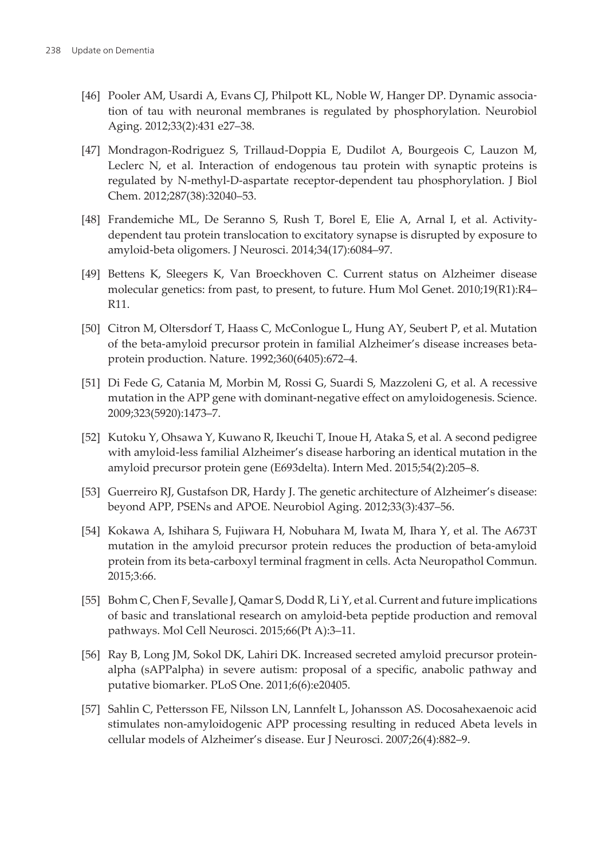- <span id="page-13-0"></span>[46] Pooler AM, Usardi A, Evans CJ, Philpott KL, Noble W, Hanger DP. Dynamic association of tau with neuronal membranes is regulated by phosphorylation. Neurobiol Aging. 2012;33(2):431 e27–38.
- [47] Mondragon-Rodriguez S, Trillaud-Doppia E, Dudilot A, Bourgeois C, Lauzon M, Leclerc N, et al. Interaction of endogenous tau protein with synaptic proteins is regulated by N-methyl-D-aspartate receptor-dependent tau phosphorylation. J Biol Chem. 2012;287(38):32040–53.
- [48] Frandemiche ML, De Seranno S, Rush T, Borel E, Elie A, Arnal I, et al. Activitydependent tau protein translocation to excitatory synapse is disrupted by exposure to amyloid-beta oligomers. J Neurosci. 2014;34(17):6084–97.
- [49] Bettens K, Sleegers K, Van Broeckhoven C. Current status on Alzheimer disease molecular genetics: from past, to present, to future. Hum Mol Genet. 2010;19(R1):R4– R11.
- [50] Citron M, Oltersdorf T, Haass C, McConlogue L, Hung AY, Seubert P, et al. Mutation of the beta-amyloid precursor protein in familial Alzheimer's disease increases betaprotein production. Nature. 1992;360(6405):672–4.
- [51] Di Fede G, Catania M, Morbin M, Rossi G, Suardi S, Mazzoleni G, et al. A recessive mutation in the APP gene with dominant-negative effect on amyloidogenesis. Science. 2009;323(5920):1473–7.
- [52] Kutoku Y, Ohsawa Y, Kuwano R, Ikeuchi T, Inoue H, Ataka S, et al. A second pedigree with amyloid-less familial Alzheimer's disease harboring an identical mutation in the amyloid precursor protein gene (E693delta). Intern Med. 2015;54(2):205–8.
- [53] Guerreiro RJ, Gustafson DR, Hardy J. The genetic architecture of Alzheimer's disease: beyond APP, PSENs and APOE. Neurobiol Aging. 2012;33(3):437–56.
- [54] Kokawa A, Ishihara S, Fujiwara H, Nobuhara M, Iwata M, Ihara Y, et al. The A673T mutation in the amyloid precursor protein reduces the production of beta-amyloid protein from its beta-carboxyl terminal fragment in cells. Acta Neuropathol Commun. 2015;3:66.
- [55] Bohm C, Chen F, Sevalle J, Qamar S, Dodd R, Li Y, et al. Current and future implications of basic and translational research on amyloid-beta peptide production and removal pathways. Mol Cell Neurosci. 2015;66(Pt A):3–11.
- [56] Ray B, Long JM, Sokol DK, Lahiri DK. Increased secreted amyloid precursor proteinalpha (sAPPalpha) in severe autism: proposal of a specific, anabolic pathway and putative biomarker. PLoS One. 2011;6(6):e20405.
- [57] Sahlin C, Pettersson FE, Nilsson LN, Lannfelt L, Johansson AS. Docosahexaenoic acid stimulates non-amyloidogenic APP processing resulting in reduced Abeta levels in cellular models of Alzheimer's disease. Eur J Neurosci. 2007;26(4):882–9.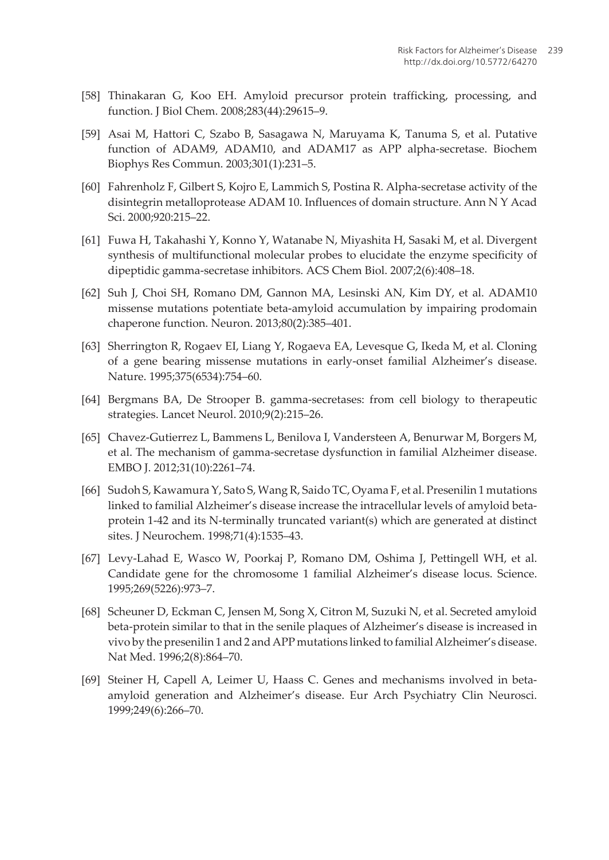- <span id="page-14-0"></span>[58] Thinakaran G, Koo EH. Amyloid precursor protein trafficking, processing, and function. J Biol Chem. 2008;283(44):29615–9.
- [59] Asai M, Hattori C, Szabo B, Sasagawa N, Maruyama K, Tanuma S, et al. Putative function of ADAM9, ADAM10, and ADAM17 as APP alpha-secretase. Biochem Biophys Res Commun. 2003;301(1):231–5.
- [60] Fahrenholz F, Gilbert S, Kojro E, Lammich S, Postina R. Alpha-secretase activity of the disintegrin metalloprotease ADAM 10. Influences of domain structure. Ann N Y Acad Sci. 2000;920:215–22.
- [61] Fuwa H, Takahashi Y, Konno Y, Watanabe N, Miyashita H, Sasaki M, et al. Divergent synthesis of multifunctional molecular probes to elucidate the enzyme specificity of dipeptidic gamma-secretase inhibitors. ACS Chem Biol. 2007;2(6):408–18.
- [62] Suh J, Choi SH, Romano DM, Gannon MA, Lesinski AN, Kim DY, et al. ADAM10 missense mutations potentiate beta-amyloid accumulation by impairing prodomain chaperone function. Neuron. 2013;80(2):385–401.
- [63] Sherrington R, Rogaev EI, Liang Y, Rogaeva EA, Levesque G, Ikeda M, et al. Cloning of a gene bearing missense mutations in early-onset familial Alzheimer's disease. Nature. 1995;375(6534):754–60.
- [64] Bergmans BA, De Strooper B. gamma-secretases: from cell biology to therapeutic strategies. Lancet Neurol. 2010;9(2):215–26.
- [65] Chavez-Gutierrez L, Bammens L, Benilova I, Vandersteen A, Benurwar M, Borgers M, et al. The mechanism of gamma-secretase dysfunction in familial Alzheimer disease. EMBO J. 2012;31(10):2261–74.
- [66] Sudoh S, Kawamura Y, Sato S, Wang R, Saido TC, Oyama F, et al. Presenilin 1 mutations linked to familial Alzheimer's disease increase the intracellular levels of amyloid betaprotein 1-42 and its N-terminally truncated variant(s) which are generated at distinct sites. J Neurochem. 1998;71(4):1535–43.
- [67] Levy-Lahad E, Wasco W, Poorkaj P, Romano DM, Oshima J, Pettingell WH, et al. Candidate gene for the chromosome 1 familial Alzheimer's disease locus. Science. 1995;269(5226):973–7.
- [68] Scheuner D, Eckman C, Jensen M, Song X, Citron M, Suzuki N, et al. Secreted amyloid beta-protein similar to that in the senile plaques of Alzheimer's disease is increased in vivo by the presenilin 1 and 2 and APP mutations linked to familial Alzheimer's disease. Nat Med. 1996;2(8):864–70.
- [69] Steiner H, Capell A, Leimer U, Haass C. Genes and mechanisms involved in betaamyloid generation and Alzheimer's disease. Eur Arch Psychiatry Clin Neurosci. 1999;249(6):266–70.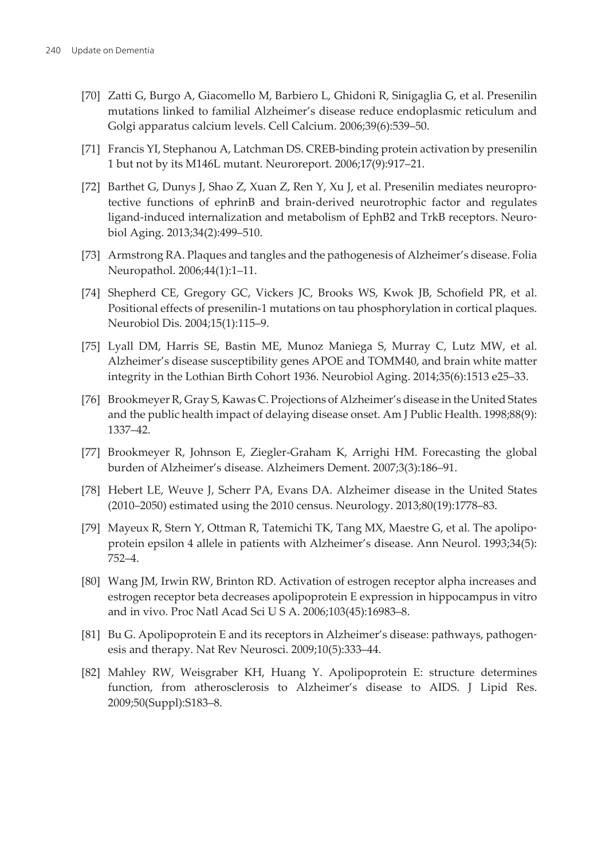- <span id="page-15-0"></span>[70] Zatti G, Burgo A, Giacomello M, Barbiero L, Ghidoni R, Sinigaglia G, et al. Presenilin mutations linked to familial Alzheimer's disease reduce endoplasmic reticulum and Golgi apparatus calcium levels. Cell Calcium. 2006;39(6):539–50.
- [71] Francis YI, Stephanou A, Latchman DS. CREB-binding protein activation by presenilin 1 but not by its M146L mutant. Neuroreport. 2006;17(9):917–21.
- [72] Barthet G, Dunys J, Shao Z, Xuan Z, Ren Y, Xu J, et al. Presenilin mediates neuropro‐ tective functions of ephrinB and brain-derived neurotrophic factor and regulates ligand-induced internalization and metabolism of EphB2 and TrkB receptors. Neuro‐ biol Aging. 2013;34(2):499–510.
- [73] Armstrong RA. Plaques and tangles and the pathogenesis of Alzheimer's disease. Folia Neuropathol. 2006;44(1):1–11.
- [74] Shepherd CE, Gregory GC, Vickers JC, Brooks WS, Kwok JB, Schofield PR, et al. Positional effects of presenilin-1 mutations on tau phosphorylation in cortical plaques. Neurobiol Dis. 2004;15(1):115–9.
- [75] Lyall DM, Harris SE, Bastin ME, Munoz Maniega S, Murray C, Lutz MW, et al. Alzheimer's disease susceptibility genes APOE and TOMM40, and brain white matter integrity in the Lothian Birth Cohort 1936. Neurobiol Aging. 2014;35(6):1513 e25–33.
- [76] Brookmeyer R, Gray S, Kawas C. Projections of Alzheimer's disease in the United States and the public health impact of delaying disease onset. Am J Public Health. 1998;88(9): 1337–42.
- [77] Brookmeyer R, Johnson E, Ziegler-Graham K, Arrighi HM. Forecasting the global burden of Alzheimer's disease. Alzheimers Dement. 2007;3(3):186–91.
- [78] Hebert LE, Weuve J, Scherr PA, Evans DA. Alzheimer disease in the United States (2010–2050) estimated using the 2010 census. Neurology. 2013;80(19):1778–83.
- [79] Mayeux R, Stern Y, Ottman R, Tatemichi TK, Tang MX, Maestre G, et al. The apolipoprotein epsilon 4 allele in patients with Alzheimer's disease. Ann Neurol. 1993;34(5): 752–4.
- [80] Wang JM, Irwin RW, Brinton RD. Activation of estrogen receptor alpha increases and estrogen receptor beta decreases apolipoprotein E expression in hippocampus in vitro and in vivo. Proc Natl Acad Sci U S A. 2006;103(45):16983–8.
- [81] Bu G. Apolipoprotein E and its receptors in Alzheimer's disease: pathways, pathogenesis and therapy. Nat Rev Neurosci. 2009;10(5):333–44.
- [82] Mahley RW, Weisgraber KH, Huang Y. Apolipoprotein E: structure determines function, from atherosclerosis to Alzheimer's disease to AIDS. J Lipid Res. 2009;50(Suppl):S183–8.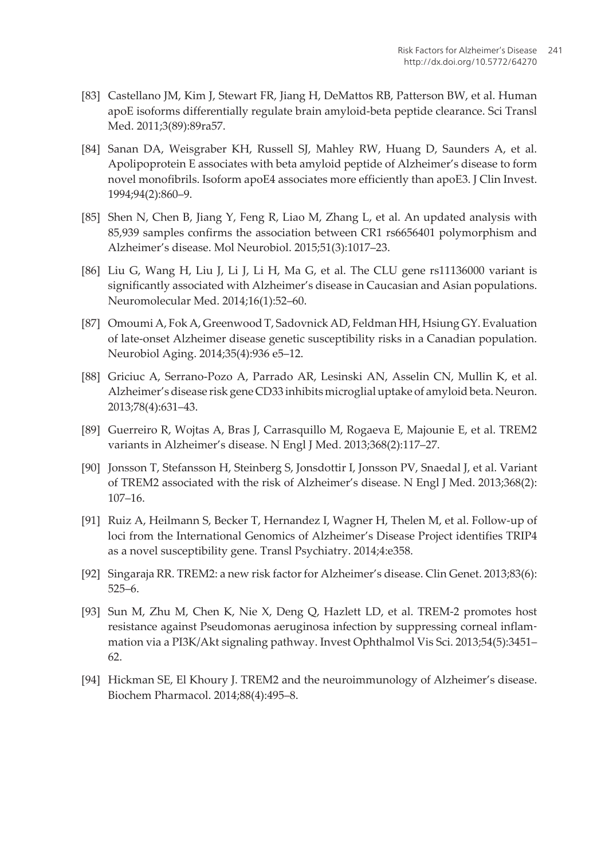- <span id="page-16-0"></span>[83] Castellano JM, Kim J, Stewart FR, Jiang H, DeMattos RB, Patterson BW, et al. Human apoE isoforms differentially regulate brain amyloid-beta peptide clearance. Sci Transl Med. 2011;3(89):89ra57.
- [84] Sanan DA, Weisgraber KH, Russell SJ, Mahley RW, Huang D, Saunders A, et al. Apolipoprotein E associates with beta amyloid peptide of Alzheimer's disease to form novel monofibrils. Isoform apoE4 associates more efficiently than apoE3. J Clin Invest. 1994;94(2):860–9.
- [85] Shen N, Chen B, Jiang Y, Feng R, Liao M, Zhang L, et al. An updated analysis with 85,939 samples confirms the association between CR1 rs6656401 polymorphism and Alzheimer's disease. Mol Neurobiol. 2015;51(3):1017–23.
- [86] Liu G, Wang H, Liu J, Li J, Li H, Ma G, et al. The CLU gene rs11136000 variant is significantly associated with Alzheimer's disease in Caucasian and Asian populations. Neuromolecular Med. 2014;16(1):52–60.
- [87] Omoumi A, Fok A, Greenwood T, Sadovnick AD, Feldman HH, Hsiung GY. Evaluation of late-onset Alzheimer disease genetic susceptibility risks in a Canadian population. Neurobiol Aging. 2014;35(4):936 e5–12.
- [88] Griciuc A, Serrano-Pozo A, Parrado AR, Lesinski AN, Asselin CN, Mullin K, et al. Alzheimer's disease risk gene CD33 inhibits microglial uptake of amyloid beta. Neuron. 2013;78(4):631–43.
- [89] Guerreiro R, Wojtas A, Bras J, Carrasquillo M, Rogaeva E, Majounie E, et al. TREM2 variants in Alzheimer's disease. N Engl J Med. 2013;368(2):117–27.
- [90] Jonsson T, Stefansson H, Steinberg S, Jonsdottir I, Jonsson PV, Snaedal J, et al. Variant of TREM2 associated with the risk of Alzheimer's disease. N Engl J Med. 2013;368(2): 107–16.
- [91] Ruiz A, Heilmann S, Becker T, Hernandez I, Wagner H, Thelen M, et al. Follow-up of loci from the International Genomics of Alzheimer's Disease Project identifies TRIP4 as a novel susceptibility gene. Transl Psychiatry. 2014;4:e358.
- [92] Singaraja RR. TREM2: a new risk factor for Alzheimer's disease. Clin Genet. 2013;83(6): 525–6.
- [93] Sun M, Zhu M, Chen K, Nie X, Deng Q, Hazlett LD, et al. TREM-2 promotes host resistance against Pseudomonas aeruginosa infection by suppressing corneal inflam‐ mation via a PI3K/Akt signaling pathway. Invest Ophthalmol Vis Sci. 2013;54(5):3451– 62.
- [94] Hickman SE, El Khoury J. TREM2 and the neuroimmunology of Alzheimer's disease. Biochem Pharmacol. 2014;88(4):495–8.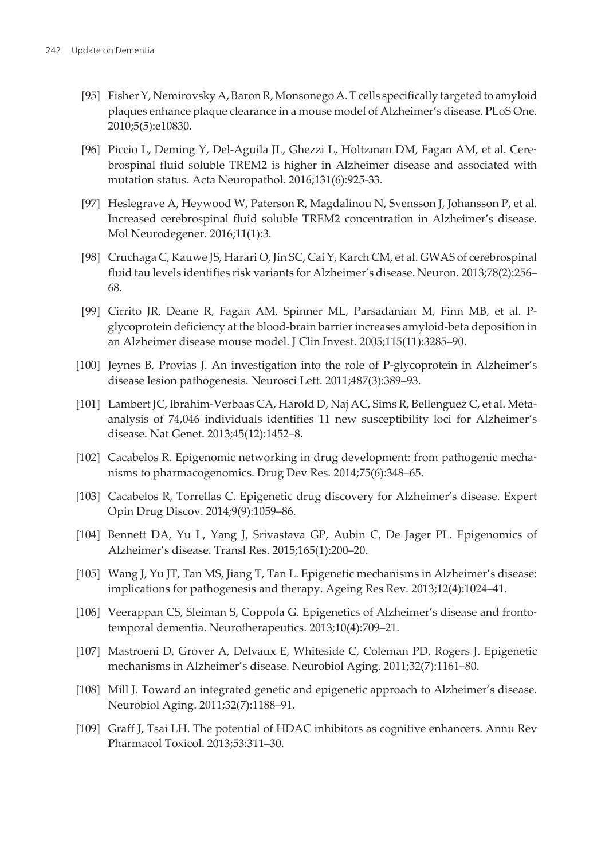- <span id="page-17-0"></span>[95] Fisher Y, Nemirovsky A, Baron R, Monsonego A. T cells specifically targeted to amyloid plaques enhance plaque clearance in a mouse model of Alzheimer's disease. PLoS One. 2010;5(5):e10830.
- [96] Piccio L, Deming Y, Del-Aguila JL, Ghezzi L, Holtzman DM, Fagan AM, et al. Cerebrospinal fluid soluble TREM2 is higher in Alzheimer disease and associated with mutation status. Acta Neuropathol. 2016;131(6):925-33.
- [97] Heslegrave A, Heywood W, Paterson R, Magdalinou N, Svensson J, Johansson P, et al. Increased cerebrospinal fluid soluble TREM2 concentration in Alzheimer's disease. Mol Neurodegener. 2016;11(1):3.
- [98] Cruchaga C, Kauwe JS, Harari O, Jin SC, Cai Y, Karch CM, et al. GWAS of cerebrospinal fluid tau levels identifies risk variants for Alzheimer's disease. Neuron. 2013;78(2):256– 68.
- [99] Cirrito JR, Deane R, Fagan AM, Spinner ML, Parsadanian M, Finn MB, et al. Pglycoprotein deficiency at the blood-brain barrier increases amyloid-beta deposition in an Alzheimer disease mouse model. J Clin Invest. 2005;115(11):3285–90.
- [100] Jeynes B, Provias J. An investigation into the role of P-glycoprotein in Alzheimer's disease lesion pathogenesis. Neurosci Lett. 2011;487(3):389–93.
- [101] Lambert JC, Ibrahim-Verbaas CA, Harold D, Naj AC, Sims R, Bellenguez C, et al. Metaanalysis of 74,046 individuals identifies 11 new susceptibility loci for Alzheimer's disease. Nat Genet. 2013;45(12):1452–8.
- [102] Cacabelos R. Epigenomic networking in drug development: from pathogenic mechanisms to pharmacogenomics. Drug Dev Res. 2014;75(6):348–65.
- [103] Cacabelos R, Torrellas C. Epigenetic drug discovery for Alzheimer's disease. Expert Opin Drug Discov. 2014;9(9):1059–86.
- [104] Bennett DA, Yu L, Yang J, Srivastava GP, Aubin C, De Jager PL. Epigenomics of Alzheimer's disease. Transl Res. 2015;165(1):200–20.
- [105] Wang J, Yu JT, Tan MS, Jiang T, Tan L. Epigenetic mechanisms in Alzheimer's disease: implications for pathogenesis and therapy. Ageing Res Rev. 2013;12(4):1024–41.
- [106] Veerappan CS, Sleiman S, Coppola G. Epigenetics of Alzheimer's disease and fronto‐ temporal dementia. Neurotherapeutics. 2013;10(4):709–21.
- [107] Mastroeni D, Grover A, Delvaux E, Whiteside C, Coleman PD, Rogers J. Epigenetic mechanisms in Alzheimer's disease. Neurobiol Aging. 2011;32(7):1161–80.
- [108] Mill J. Toward an integrated genetic and epigenetic approach to Alzheimer's disease. Neurobiol Aging. 2011;32(7):1188–91.
- [109] Graff J, Tsai LH. The potential of HDAC inhibitors as cognitive enhancers. Annu Rev Pharmacol Toxicol. 2013;53:311–30.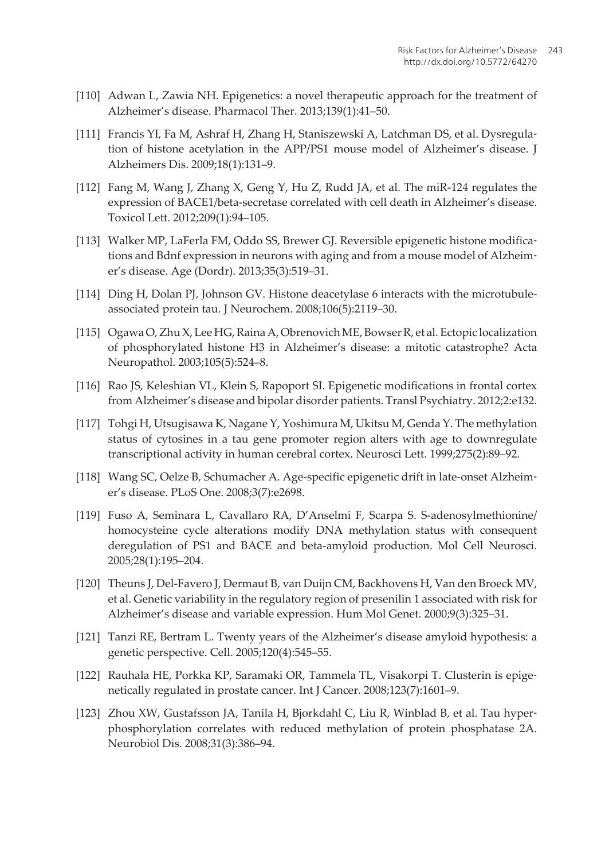- <span id="page-18-0"></span>[110] Adwan L, Zawia NH. Epigenetics: a novel therapeutic approach for the treatment of Alzheimer's disease. Pharmacol Ther. 2013;139(1):41–50.
- [111] Francis YI, Fa M, Ashraf H, Zhang H, Staniszewski A, Latchman DS, et al. Dysregula‐ tion of histone acetylation in the APP/PS1 mouse model of Alzheimer's disease. J Alzheimers Dis. 2009;18(1):131–9.
- [112] Fang M, Wang J, Zhang X, Geng Y, Hu Z, Rudd JA, et al. The miR-124 regulates the expression of BACE1/beta-secretase correlated with cell death in Alzheimer's disease. Toxicol Lett. 2012;209(1):94–105.
- [113] Walker MP, LaFerla FM, Oddo SS, Brewer GJ. Reversible epigenetic histone modifica‐ tions and Bdnf expression in neurons with aging and from a mouse model of Alzheimer's disease. Age (Dordr). 2013;35(3):519–31.
- [114] Ding H, Dolan PJ, Johnson GV. Histone deacetylase 6 interacts with the microtubuleassociated protein tau. J Neurochem. 2008;106(5):2119–30.
- [115] Ogawa O, Zhu X, Lee HG, Raina A, Obrenovich ME, Bowser R, et al. Ectopic localization of phosphorylated histone H3 in Alzheimer's disease: a mitotic catastrophe? Acta Neuropathol. 2003;105(5):524–8.
- [116] Rao JS, Keleshian VL, Klein S, Rapoport SI. Epigenetic modifications in frontal cortex from Alzheimer's disease and bipolar disorder patients. Transl Psychiatry. 2012;2:e132.
- [117] Tohgi H, Utsugisawa K, Nagane Y, Yoshimura M, Ukitsu M, Genda Y. The methylation status of cytosines in a tau gene promoter region alters with age to downregulate transcriptional activity in human cerebral cortex. Neurosci Lett. 1999;275(2):89–92.
- [118] Wang SC, Oelze B, Schumacher A. Age-specific epigenetic drift in late-onset Alzheim‐ er's disease. PLoS One. 2008;3(7):e2698.
- [119] Fuso A, Seminara L, Cavallaro RA, D'Anselmi F, Scarpa S. S-adenosylmethionine/ homocysteine cycle alterations modify DNA methylation status with consequent deregulation of PS1 and BACE and beta-amyloid production. Mol Cell Neurosci. 2005;28(1):195–204.
- [120] Theuns J, Del-Favero J, Dermaut B, van Duijn CM, Backhovens H, Van den Broeck MV, et al. Genetic variability in the regulatory region of presenilin 1 associated with risk for Alzheimer's disease and variable expression. Hum Mol Genet. 2000;9(3):325–31.
- [121] Tanzi RE, Bertram L. Twenty years of the Alzheimer's disease amyloid hypothesis: a genetic perspective. Cell. 2005;120(4):545–55.
- [122] Rauhala HE, Porkka KP, Saramaki OR, Tammela TL, Visakorpi T. Clusterin is epige‐ netically regulated in prostate cancer. Int J Cancer. 2008;123(7):1601–9.
- [123] Zhou XW, Gustafsson JA, Tanila H, Bjorkdahl C, Liu R, Winblad B, et al. Tau hyper‐ phosphorylation correlates with reduced methylation of protein phosphatase 2A. Neurobiol Dis. 2008;31(3):386–94.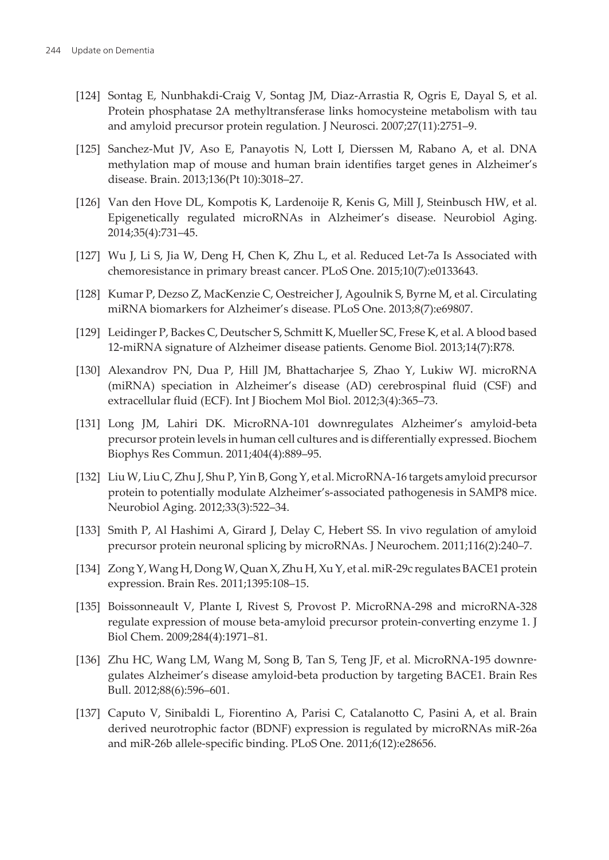- <span id="page-19-0"></span>[124] Sontag E, Nunbhakdi-Craig V, Sontag JM, Diaz-Arrastia R, Ogris E, Dayal S, et al. Protein phosphatase 2A methyltransferase links homocysteine metabolism with tau and amyloid precursor protein regulation. J Neurosci. 2007;27(11):2751–9.
- [125] Sanchez-Mut JV, Aso E, Panayotis N, Lott I, Dierssen M, Rabano A, et al. DNA methylation map of mouse and human brain identifies target genes in Alzheimer's disease. Brain. 2013;136(Pt 10):3018–27.
- [126] Van den Hove DL, Kompotis K, Lardenoije R, Kenis G, Mill J, Steinbusch HW, et al. Epigenetically regulated microRNAs in Alzheimer's disease. Neurobiol Aging. 2014;35(4):731–45.
- [127] Wu J, Li S, Jia W, Deng H, Chen K, Zhu L, et al. Reduced Let-7a Is Associated with chemoresistance in primary breast cancer. PLoS One. 2015;10(7):e0133643.
- [128] Kumar P, Dezso Z, MacKenzie C, Oestreicher J, Agoulnik S, Byrne M, et al. Circulating miRNA biomarkers for Alzheimer's disease. PLoS One. 2013;8(7):e69807.
- [129] Leidinger P, Backes C, Deutscher S, Schmitt K, Mueller SC, Frese K, et al. A blood based 12-miRNA signature of Alzheimer disease patients. Genome Biol. 2013;14(7):R78.
- [130] Alexandrov PN, Dua P, Hill JM, Bhattacharjee S, Zhao Y, Lukiw WJ. microRNA (miRNA) speciation in Alzheimer's disease (AD) cerebrospinal fluid (CSF) and extracellular fluid (ECF). Int J Biochem Mol Biol. 2012;3(4):365–73.
- [131] Long JM, Lahiri DK. MicroRNA-101 downregulates Alzheimer's amyloid-beta precursor protein levels in human cell cultures and is differentially expressed. Biochem Biophys Res Commun. 2011;404(4):889–95.
- [132] Liu W, Liu C, Zhu J, Shu P, Yin B, Gong Y, et al. MicroRNA-16 targets amyloid precursor protein to potentially modulate Alzheimer's-associated pathogenesis in SAMP8 mice. Neurobiol Aging. 2012;33(3):522–34.
- [133] Smith P, Al Hashimi A, Girard J, Delay C, Hebert SS. In vivo regulation of amyloid precursor protein neuronal splicing by microRNAs. J Neurochem. 2011;116(2):240–7.
- [134] Zong Y, Wang H, Dong W, Quan X, Zhu H, Xu Y, et al. miR-29c regulates BACE1 protein expression. Brain Res. 2011;1395:108–15.
- [135] Boissonneault V, Plante I, Rivest S, Provost P. MicroRNA-298 and microRNA-328 regulate expression of mouse beta-amyloid precursor protein-converting enzyme 1. J Biol Chem. 2009;284(4):1971–81.
- [136] Zhu HC, Wang LM, Wang M, Song B, Tan S, Teng JF, et al. MicroRNA-195 downre‐ gulates Alzheimer's disease amyloid-beta production by targeting BACE1. Brain Res Bull. 2012;88(6):596–601.
- [137] Caputo V, Sinibaldi L, Fiorentino A, Parisi C, Catalanotto C, Pasini A, et al. Brain derived neurotrophic factor (BDNF) expression is regulated by microRNAs miR-26a and miR-26b allele-specific binding. PLoS One. 2011;6(12):e28656.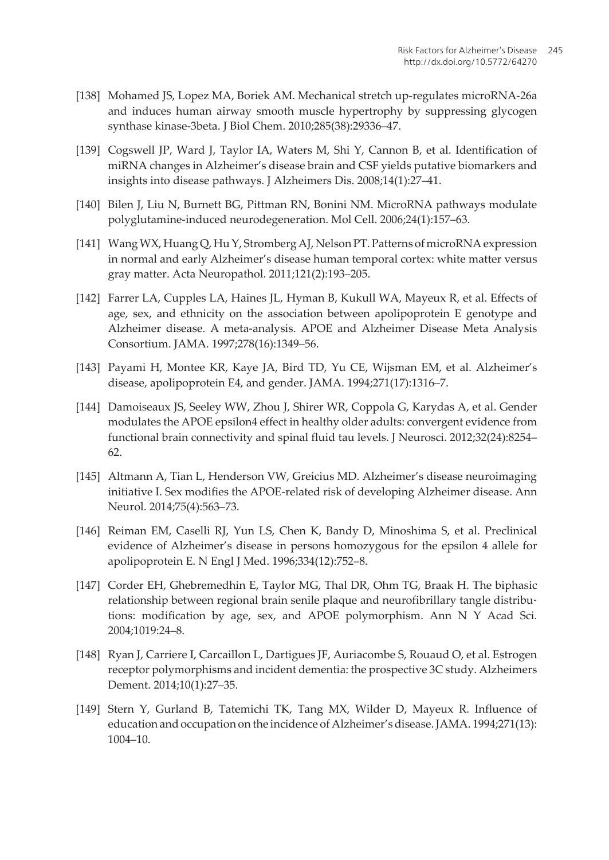- <span id="page-20-0"></span>[138] Mohamed JS, Lopez MA, Boriek AM. Mechanical stretch up-regulates microRNA-26a and induces human airway smooth muscle hypertrophy by suppressing glycogen synthase kinase-3beta. J Biol Chem. 2010;285(38):29336–47.
- [139] Cogswell JP, Ward J, Taylor IA, Waters M, Shi Y, Cannon B, et al. Identification of miRNA changes in Alzheimer's disease brain and CSF yields putative biomarkers and insights into disease pathways. J Alzheimers Dis. 2008;14(1):27–41.
- [140] Bilen J, Liu N, Burnett BG, Pittman RN, Bonini NM. MicroRNA pathways modulate polyglutamine-induced neurodegeneration. Mol Cell. 2006;24(1):157–63.
- [141] Wang WX, Huang Q, Hu Y, Stromberg AJ, Nelson PT. Patterns of microRNA expression in normal and early Alzheimer's disease human temporal cortex: white matter versus gray matter. Acta Neuropathol. 2011;121(2):193–205.
- [142] Farrer LA, Cupples LA, Haines JL, Hyman B, Kukull WA, Mayeux R, et al. Effects of age, sex, and ethnicity on the association between apolipoprotein E genotype and Alzheimer disease. A meta-analysis. APOE and Alzheimer Disease Meta Analysis Consortium. JAMA. 1997;278(16):1349–56.
- [143] Payami H, Montee KR, Kaye JA, Bird TD, Yu CE, Wijsman EM, et al. Alzheimer's disease, apolipoprotein E4, and gender. JAMA. 1994;271(17):1316–7.
- [144] Damoiseaux JS, Seeley WW, Zhou J, Shirer WR, Coppola G, Karydas A, et al. Gender modulates the APOE epsilon4 effect in healthy older adults: convergent evidence from functional brain connectivity and spinal fluid tau levels. J Neurosci. 2012;32(24):8254– 62.
- [145] Altmann A, Tian L, Henderson VW, Greicius MD. Alzheimer's disease neuroimaging initiative I. Sex modifies the APOE-related risk of developing Alzheimer disease. Ann Neurol. 2014;75(4):563–73.
- [146] Reiman EM, Caselli RJ, Yun LS, Chen K, Bandy D, Minoshima S, et al. Preclinical evidence of Alzheimer's disease in persons homozygous for the epsilon 4 allele for apolipoprotein E. N Engl J Med. 1996;334(12):752–8.
- [147] Corder EH, Ghebremedhin E, Taylor MG, Thal DR, Ohm TG, Braak H. The biphasic relationship between regional brain senile plaque and neurofibrillary tangle distribu‐ tions: modification by age, sex, and APOE polymorphism. Ann N Y Acad Sci. 2004;1019:24–8.
- [148] Ryan J, Carriere I, Carcaillon L, Dartigues JF, Auriacombe S, Rouaud O, et al. Estrogen receptor polymorphisms and incident dementia: the prospective 3C study. Alzheimers Dement. 2014;10(1):27–35.
- [149] Stern Y, Gurland B, Tatemichi TK, Tang MX, Wilder D, Mayeux R. Influence of education and occupation on the incidence of Alzheimer's disease. JAMA. 1994;271(13): 1004–10.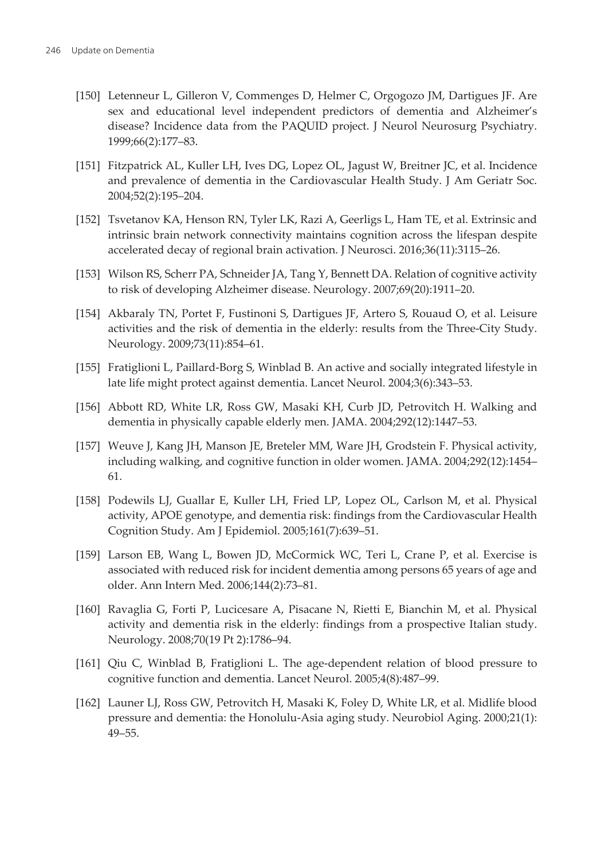- <span id="page-21-0"></span>[150] Letenneur L, Gilleron V, Commenges D, Helmer C, Orgogozo JM, Dartigues JF. Are sex and educational level independent predictors of dementia and Alzheimer's disease? Incidence data from the PAQUID project. J Neurol Neurosurg Psychiatry. 1999;66(2):177–83.
- [151] Fitzpatrick AL, Kuller LH, Ives DG, Lopez OL, Jagust W, Breitner JC, et al. Incidence and prevalence of dementia in the Cardiovascular Health Study. J Am Geriatr Soc. 2004;52(2):195–204.
- [152] Tsvetanov KA, Henson RN, Tyler LK, Razi A, Geerligs L, Ham TE, et al. Extrinsic and intrinsic brain network connectivity maintains cognition across the lifespan despite accelerated decay of regional brain activation. J Neurosci. 2016;36(11):3115–26.
- [153] Wilson RS, Scherr PA, Schneider JA, Tang Y, Bennett DA. Relation of cognitive activity to risk of developing Alzheimer disease. Neurology. 2007;69(20):1911–20.
- [154] Akbaraly TN, Portet F, Fustinoni S, Dartigues JF, Artero S, Rouaud O, et al. Leisure activities and the risk of dementia in the elderly: results from the Three-City Study. Neurology. 2009;73(11):854–61.
- [155] Fratiglioni L, Paillard-Borg S, Winblad B. An active and socially integrated lifestyle in late life might protect against dementia. Lancet Neurol. 2004;3(6):343–53.
- [156] Abbott RD, White LR, Ross GW, Masaki KH, Curb JD, Petrovitch H. Walking and dementia in physically capable elderly men. JAMA. 2004;292(12):1447–53.
- [157] Weuve J, Kang JH, Manson JE, Breteler MM, Ware JH, Grodstein F. Physical activity, including walking, and cognitive function in older women. JAMA. 2004;292(12):1454– 61.
- [158] Podewils LJ, Guallar E, Kuller LH, Fried LP, Lopez OL, Carlson M, et al. Physical activity, APOE genotype, and dementia risk: findings from the Cardiovascular Health Cognition Study. Am J Epidemiol. 2005;161(7):639–51.
- [159] Larson EB, Wang L, Bowen JD, McCormick WC, Teri L, Crane P, et al. Exercise is associated with reduced risk for incident dementia among persons 65 years of age and older. Ann Intern Med. 2006;144(2):73–81.
- [160] Ravaglia G, Forti P, Lucicesare A, Pisacane N, Rietti E, Bianchin M, et al. Physical activity and dementia risk in the elderly: findings from a prospective Italian study. Neurology. 2008;70(19 Pt 2):1786–94.
- [161] Qiu C, Winblad B, Fratiglioni L. The age-dependent relation of blood pressure to cognitive function and dementia. Lancet Neurol. 2005;4(8):487–99.
- [162] Launer LJ, Ross GW, Petrovitch H, Masaki K, Foley D, White LR, et al. Midlife blood pressure and dementia: the Honolulu-Asia aging study. Neurobiol Aging. 2000;21(1): 49–55.